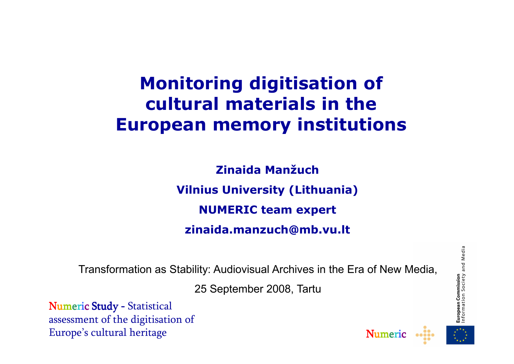#### **Monitoring digitisation of cultural materials in the European memory institutions**

**Zinaida ManžuchVilnius University (Lithuania)NUMERIC team expertzinaida.manzuch@mb.vu.lt**

Transformation as Stability: Audiovisual Archives in the Era of New Media,

25 September 2008, Tartu

Numeric Study - Statistical assessment of the digitisation of Europe's cultural heritage





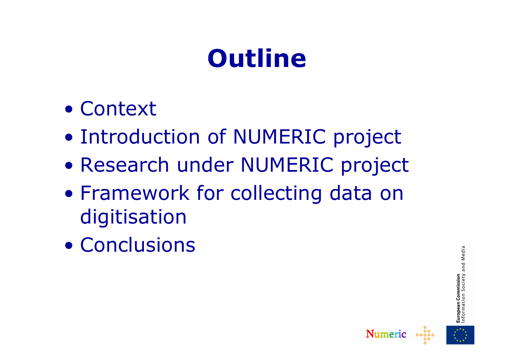# **Outline**

- Context
- $\bullet$ Introduction of NUMERIC project
- $\bullet$ Research under NUMERIC project
- $\bullet$ • Framework for collecting data on digitisation
- $\bullet$ **Conclusions**

Media and **European Commission**<br>Information Society



Numeric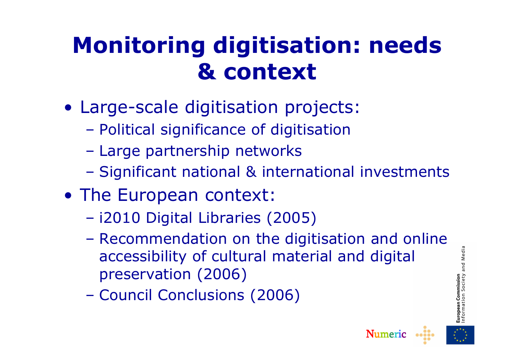#### **Monitoring digitisation: needs & context**

- Large-scale digitisation projects:
	- $\mathcal{L}_{\mathcal{A}}$ Political significance of digitisation
	- $\mathcal{L}_{\mathcal{A}}$ Large partnership networks
	- $\mathcal{L}_{\mathcal{A}}$ Significant national & international investments
- The European context:<br>Ci2010 Digital Libraries (
	- $\mathcal{L}_{\mathcal{A}}$ i2010 Digital Libraries (2005)
	- $\mathcal{L}_{\mathcal{A}}$ Recommendation on the digitisation and online<br>accessibility of cultural material and digital accessibility of cultural material and digital preservation (2006)
	- $\mathcal{L}_{\mathcal{A}}$ Council Conclusions (2006)





Media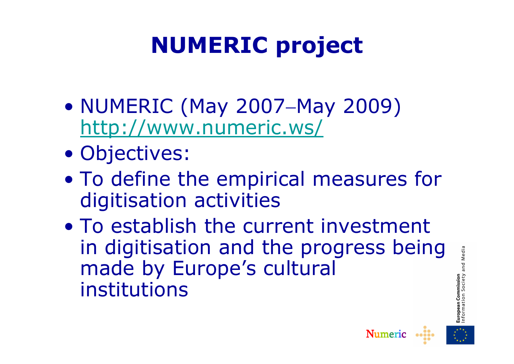## **NUMERIC project**

- $\bullet$ NUMERIC (May 2007–May 2009)<br>http://www.numeric.ws/ http://www.numeric.ws/
- $\bullet$ Objectives:<br>To define the
- $\bullet$ • To define the empirical measures for digitisation activities
- $\bullet$ To establish the current investment<br>in digitisation and the progress being in digitisation and the progress being made by Europe's cultural institutions

Media



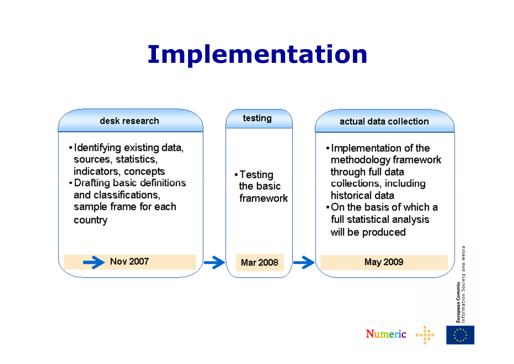## **Implementation**



**European Commiss**<br>Information Society and Media

Numeric

 $\begin{array}{ccccc}\n\bullet & \bullet & \bullet & \bullet & \bullet & \bullet\n\end{array}$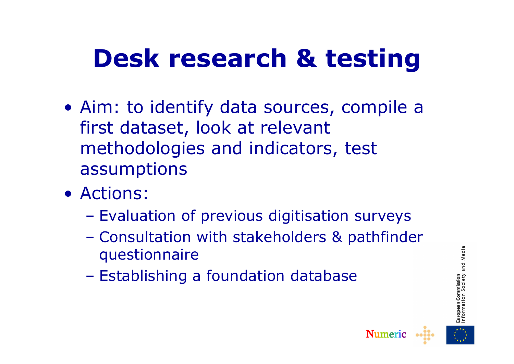## **Desk research & testing**

- Aim: to identify data sources, compile a first dataset, look at relevant methodologies and indicators, test assumptions
- Actions:
	- $\mathcal{L}_{\mathcal{A}}$ Evaluation of previous digitisation surveys
	- $\mathcal{L}_{\mathcal{A}}$  Consultation with stakeholders & pathfinder questionnaire
	- $\mathcal{L}_{\mathcal{A}}$ Establishing a foundation database



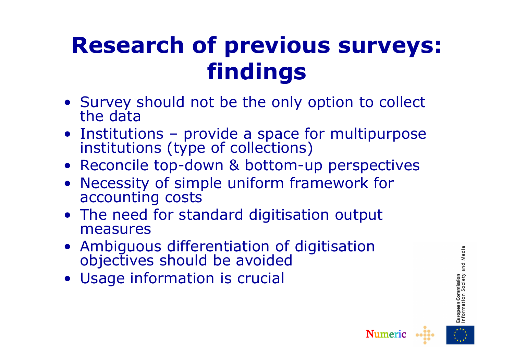#### **Research of previous surveys: findings**

- Survey should not be the only option to collect the data
- Institutions provide a space for multipurpose institutions (type of collections)
- Reconcile top-down & bottom-up perspectives
- Necessity of simple uniform framework for accounting costs
- The need for standard digitisation output<br>measures measures
- Ambiguous differentiation of digitisation objectives should be avoided
- Usage information is crucial



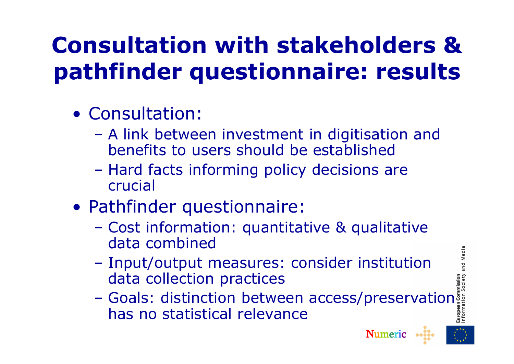### **Consultation with stakeholders & pathfinder questionnaire: results**

- Consultation:
	- $\mathcal{L}_{\mathcal{A}}$ A link between investment in digitisation and<br>henefits to users should be established benefits to users should be established
	- $\mathcal{L}_{\mathcal{A}}$  Hard facts informing policy decisions are crucial
- Pathfinder questionnaire:
	- $\mathcal{L}_{\mathcal{A}}$  Cost information: quantitative & qualitative data combined
	- $\mathcal{L}_{\mathcal{A}}$  Input/output measures: consider institution data collection practices
	- $\mathcal{L}_{\mathcal{A}}$ Goals: distinction between access/preservation<sup>5</sup><br>has no statistical relevance has no statistical relevance





and Media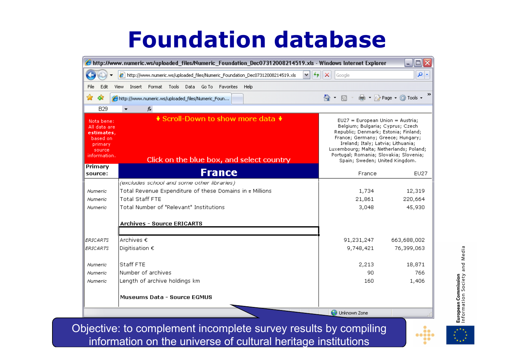#### **Foundation database**

| $\Box$ $\Box$ $\times$<br>http://www.numeric.ws/uploaded_files/Numeric_Foundation_Dec07312008214519.xls - Windows Internet Explorer (\$) |                                                                                                                                                                             |                                                                                                                                                                                                                                                                                                                  |                             |
|------------------------------------------------------------------------------------------------------------------------------------------|-----------------------------------------------------------------------------------------------------------------------------------------------------------------------------|------------------------------------------------------------------------------------------------------------------------------------------------------------------------------------------------------------------------------------------------------------------------------------------------------------------|-----------------------------|
|                                                                                                                                          | 8 http://www.numeric.ws/uploaded_files/Numeric_Foundation_Dec07312008214519.xls<br>$+$<br>$\checkmark$                                                                      | ×<br>Google                                                                                                                                                                                                                                                                                                      | $\rho$ .                    |
| Edit<br>File                                                                                                                             | Insert Format Tools<br>Data Go To Favorites<br>Help<br>View                                                                                                                 |                                                                                                                                                                                                                                                                                                                  |                             |
| ✿<br>47                                                                                                                                  | http://www.numeric.ws/uploaded_files/Numeric_Foun                                                                                                                           | 同<br>K.                                                                                                                                                                                                                                                                                                          | ■ Prage ① Tools ▼           |
| <b>B29</b>                                                                                                                               | $f_{\mathbf{x}}$                                                                                                                                                            |                                                                                                                                                                                                                                                                                                                  |                             |
| Nota bene:<br>All data are<br>estimates,<br>based on<br>primary<br>source<br>information.                                                | * Scroll-Down to show more data *<br>Click on the blue box, and select country                                                                                              | $EU27 = European Union = Austria;$<br>Belgium; Bulgaria; Cyprus; Czech<br>Republic; Denmark; Estonia; Finland;<br>France; Germany; Greece; Hungary;<br>Ireland; Italy; Latvia; Lithuania;<br>Luxembourg; Malta; Netherlands; Poland;<br>Portugal; Romania; Slovakia; Slovenia;<br>Spain; Sweden; United Kingdom. |                             |
| Primary<br>source:                                                                                                                       | <b>France</b>                                                                                                                                                               | France                                                                                                                                                                                                                                                                                                           | <b>EU27</b>                 |
| Numeric<br>Numeric<br>Numeric                                                                                                            | (excludes school and some other libraries)<br>Total Revenue Expenditure of these Domains in a Millions<br><b>Total Staff FTE</b><br>Total Number of "Relevant" Institutions | 1,734<br>21,861<br>3,048                                                                                                                                                                                                                                                                                         | 12,319<br>220,664<br>45,930 |
|                                                                                                                                          | <b>Archives - Source ERICARTS</b>                                                                                                                                           |                                                                                                                                                                                                                                                                                                                  |                             |
| <b>ERICARTS</b><br><b>ERICARTS</b>                                                                                                       | Archives €<br>Digitisation €                                                                                                                                                | 91,231,247<br>9,748,421                                                                                                                                                                                                                                                                                          | 663,688,002<br>76,399,063   |
| Numeric                                                                                                                                  | Staff FTE                                                                                                                                                                   | 2,213                                                                                                                                                                                                                                                                                                            | 18,871                      |
| Numeric<br>Numeric                                                                                                                       | Number of archives<br>Length of archive holdings km                                                                                                                         | 90<br>160                                                                                                                                                                                                                                                                                                        | 766<br>1,406                |
|                                                                                                                                          | <b>Museums Data - Source EGMUS</b>                                                                                                                                          |                                                                                                                                                                                                                                                                                                                  |                             |
|                                                                                                                                          |                                                                                                                                                                             | Unknown Zone                                                                                                                                                                                                                                                                                                     |                             |

Objective: to complement incomplete survey results by compiling information on the universe of cultural heritage institutions

**European Commission**<br>Information Society and Media

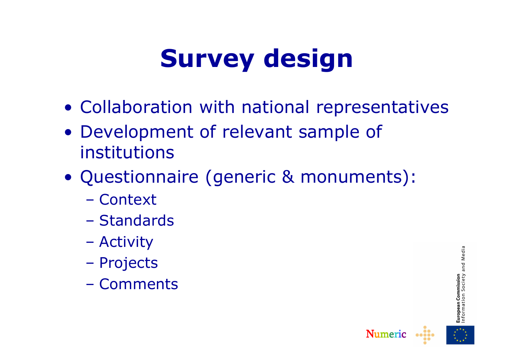# **Survey design**

- Collaboration with national representatives<br>• Davelonment of relavant sample of
- Development of relevant sample of<br>institutions institutions
- Questionnaire (generic & monuments):
	- $\mathcal{L}_{\mathcal{A}}$ Context<br>Chander
	- $\mathcal{L}_{\mathcal{A}}$ Standards
	- $\mathcal{L}_{\mathcal{A}}$ Activity
	- $\mathcal{L}_{\mathcal{A}}$ Projects
	- $\mathcal{L}_{\mathcal{A}}$ **Comments**

and Media **European Commission**<br>Information Society



Numeric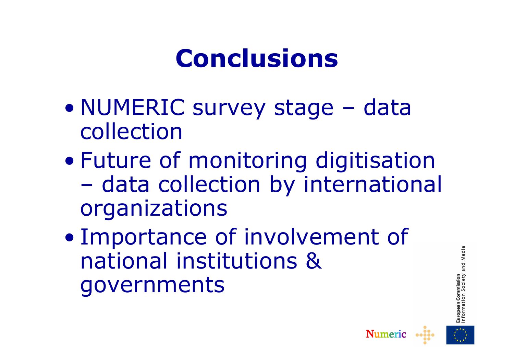### **Conclusions**

- $\bullet$ NUMERIC survey stage – data<br>collection collection
- Future o Future of monitoring digitisation<br>- data collection by international  $\mathcal{L}_{\mathcal{A}}$ - data collection by international organizations
- $\bullet$ **Importance of involvement of<br>national institutions &** national institutions & governments



Numeric